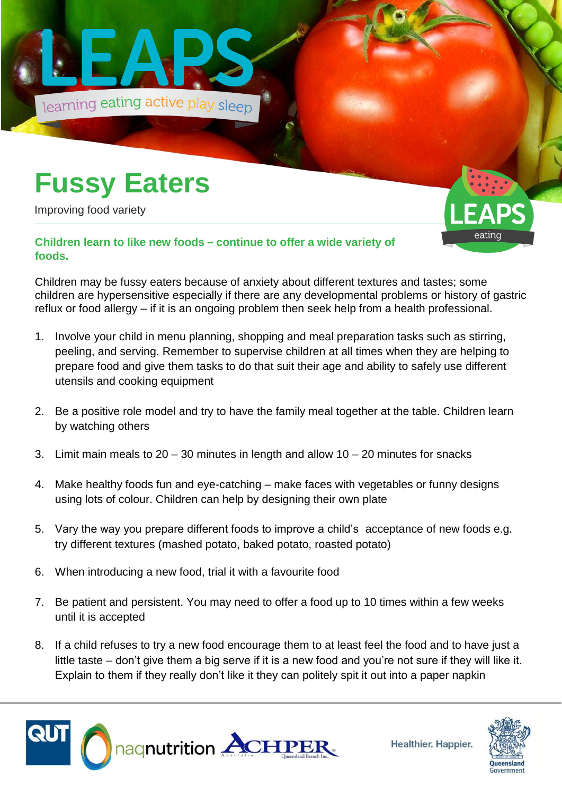

## **Fussy Eaters**

Improving food variety

eatinc

## **Children learn to like new foods – continue to offer a wide variety of foods.**

Children may be fussy eaters because of anxiety about different textures and tastes; some children are hypersensitive especially if there are any developmental problems or history of gastric reflux or food allergy – if it is an ongoing problem then seek help from a health professional.

- 1. Involve your child in menu planning, shopping and meal preparation tasks such as stirring, peeling, and serving. Remember to supervise children at all times when they are helping to prepare food and give them tasks to do that suit their age and ability to safely use different utensils and cooking equipment
- 2. Be a positive role model and try to have the family meal together at the table. Children learn by watching others
- 3. Limit main meals to  $20 30$  minutes in length and allow  $10 20$  minutes for snacks
- 4. Make healthy foods fun and eye-catching make faces with vegetables or funny designs using lots of colour. Children can help by designing their own plate
- 5. Vary the way you prepare different foods to improve a child's acceptance of new foods e.g. try different textures (mashed potato, baked potato, roasted potato)
- 6. When introducing a new food, trial it with a favourite food
- 7. Be patient and persistent. You may need to offer a food up to 10 times within a few weeks until it is accepted
- 8. If a child refuses to try a new food encourage them to at least feel the food and to have just a little taste – don't give them a big serve if it is a new food and you're not sure if they will like it. Explain to them if they really don't like it they can politely spit it out into a paper napkin